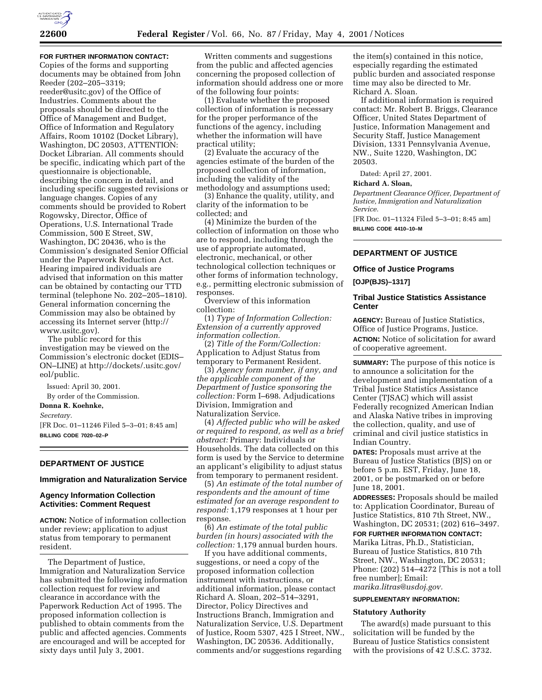

# **FOR FURTHER INFORMATION CONTACT:**

Copies of the forms and supporting documents may be obtained from John Reeder (202–205–3319; reeder@usitc.gov) of the Office of Industries. Comments about the proposals should be directed to the Office of Management and Budget, Office of Information and Regulatory Affairs, Room 10102 (Docket Library), Washington, DC 20503, ATTENTION: Docket Librarian. All comments should be specific, indicating which part of the questionnaire is objectionable, describing the concern in detail, and including specific suggested revisions or language changes. Copies of any comments should be provided to Robert Rogowsky, Director, Office of Operations, U.S. International Trade Commission, 500 E Street, SW, Washington, DC 20436, who is the Commission's designated Senior Official under the Paperwork Reduction Act. Hearing impaired individuals are advised that information on this matter can be obtained by contacting our TTD terminal (telephone No. 202–205–1810). General information concerning the Commission may also be obtained by accessing its Internet server (http:// www.usitc.gov).

The public record for this investigation may be viewed on the Commission's electronic docket (EDIS– ON–LINE) at http://dockets/.usitc.gov/ eol/public.

Issued: April 30, 2001. By order of the Commission. **Donna R. Koehnke,**

#### *Secretary.*

[FR Doc. 01–11246 Filed 5–3–01; 8:45 am] **BILLING CODE 7020–02–P**

### **DEPARTMENT OF JUSTICE**

## **Immigration and Naturalization Service**

## **Agency Information Collection Activities: Comment Request**

**ACTION:** Notice of information collection under review; application to adjust status from temporary to permanent resident.

The Department of Justice, Immigration and Naturalization Service has submitted the following information collection request for review and clearance in accordance with the Paperwork Reduction Act of 1995. The proposed information collection is published to obtain comments from the public and affected agencies. Comments are encouraged and will be accepted for sixty days until July 3, 2001.

Written comments and suggestions from the public and affected agencies concerning the proposed collection of information should address one or more of the following four points:

(1) Evaluate whether the proposed collection of information is necessary for the proper performance of the functions of the agency, including whether the information will have practical utility;

(2) Evaluate the accuracy of the agencies estimate of the burden of the proposed collection of information, including the validity of the methodology and assumptions used;

(3) Enhance the quality, utility, and clarity of the information to be collected; and

(4) Minimize the burden of the collection of information on those who are to respond, including through the use of appropriate automated, electronic, mechanical, or other technological collection techniques or other forms of information technology, e.g., permitting electronic submission of responses.

Overview of this information collection:

(1) *Type of Information Collection: Extension of a currently approved information collection.*

(2) *Title of the Form/Collection:* Application to Adjust Status from temporary to Permanent Resident.

(3) *Agency form number, if any, and the applicable component of the Department of Justice sponsoring the collection:* Form I–698. Adjudications Division, Immigration and Naturalization Service.

(4) *Affected public who will be asked or required to respond, as well as a brief abstract:* Primary: Individuals or Households. The data collected on this form is used by the Service to determine an applicant's eligibility to adjust status from temporary to permanent resident.

(5) *An estimate of the total number of respondents and the amount of time estimated for an average respondent to respond:* 1,179 responses at 1 hour per response.

(6) *An estimate of the total public burden (in hours) associated with the collection:* 1,179 annual burden hours.

If you have additional comments, suggestions, or need a copy of the proposed information collection instrument with instructions, or additional information, please contact Richard A. Sloan, 202–514–3291, Director, Policy Directives and Instructions Branch, Immigration and Naturalization Service, U.S. Department of Justice, Room 5307, 425 I Street, NW., Washington, DC 20536. Additionally, comments and/or suggestions regarding

the item(s) contained in this notice, especially regarding the estimated public burden and associated response time may also be directed to Mr. Richard A. Sloan.

If additional information is required contact: Mr. Robert B. Briggs, Clearance Officer, United States Department of Justice, Information Management and Security Staff, Justice Management Division, 1331 Pennsylvania Avenue, NW., Suite 1220, Washington, DC 20503.

Dated: April 27, 2001.

# **Richard A. Sloan,**

*Department Clearance Officer, Department of Justice, Immigration and Naturalization Service.*

[FR Doc. 01–11324 Filed 5–3–01; 8:45 am] **BILLING CODE 4410–10–M**

# **DEPARTMENT OF JUSTICE**

# **Office of Justice Programs**

### **[OJP(BJS)–1317]**

### **Tribal Justice Statistics Assistance Center**

**AGENCY:** Bureau of Justice Statistics, Office of Justice Programs, Justice. **ACTION:** Notice of solicitation for award of cooperative agreement.

**SUMMARY:** The purpose of this notice is to announce a solicitation for the development and implementation of a Tribal Justice Statistics Assistance Center (TJSAC) which will assist Federally recognized American Indian and Alaska Native tribes in improving the collection, quality, and use of criminal and civil justice statistics in Indian Country.

**DATES:** Proposals must arrive at the Bureau of Justice Statistics (BJS) on or before 5 p.m. EST, Friday, June 18, 2001, or be postmarked on or before June 18, 2001.

**ADDRESSES:** Proposals should be mailed to: Application Coordinator, Bureau of Justice Statistics, 810 7th Street, NW., Washington, DC 20531; (202) 616–3497.

### **FOR FURTHER INFORMATION CONTACT:**

Marika Litras, Ph.D., Statistician, Bureau of Justice Statistics, 810 7th Street, NW., Washington, DC 20531; Phone: (202) 514–4272 [This is not a toll free number]; Email: *marika.litras@usdoj.gov.*

## **SUPPLEMENTARY INFORMATION:**

### **Statutory Authority**

The award(s) made pursuant to this solicitation will be funded by the Bureau of Justice Statistics consistent with the provisions of 42 U.S.C. 3732.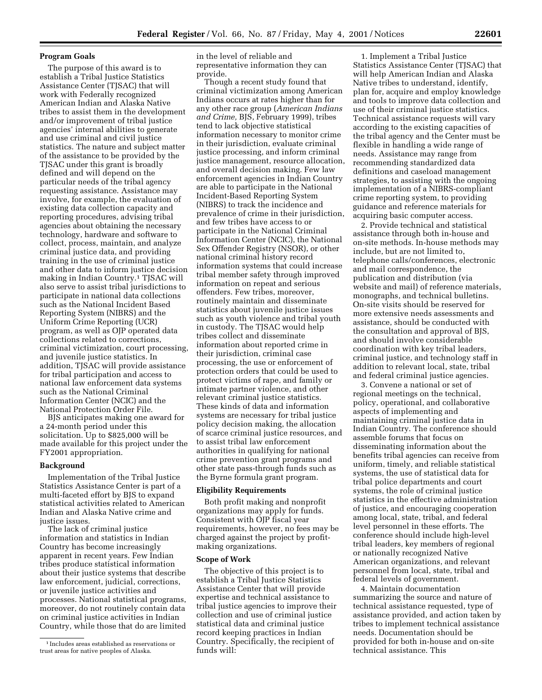## **Program Goals**

The purpose of this award is to establish a Tribal Justice Statistics Assistance Center (TJSAC) that will work with Federally recognized American Indian and Alaska Native tribes to assist them in the development and/or improvement of tribal justice agencies' internal abilities to generate and use criminal and civil justice statistics. The nature and subject matter of the assistance to be provided by the TJSAC under this grant is broadly defined and will depend on the particular needs of the tribal agency requesting assistance. Assistance may involve, for example, the evaluation of existing data collection capacity and reporting procedures, advising tribal agencies about obtaining the necessary technology, hardware and software to collect, process, maintain, and analyze criminal justice data, and providing training in the use of criminal justice and other data to inform justice decision making in Indian Country.1 TJSAC will also serve to assist tribal jurisdictions to participate in national data collections such as the National Incident Based Reporting System (NIBRS) and the Uniform Crime Reporting (UCR) program, as well as OJP operated data collections related to corrections, criminal victimization, court processing, and juvenile justice statistics. In addition, TJSAC will provide assistance for tribal participation and access to national law enforcement data systems such as the National Criminal Information Center (NCIC) and the National Protection Order File.

BJS anticipates making one award for a 24-month period under this solicitation. Up to \$825,000 will be made available for this project under the FY2001 appropriation.

## **Background**

Implementation of the Tribal Justice Statistics Assistance Center is part of a multi-faceted effort by BJS to expand statistical activities related to American Indian and Alaska Native crime and justice issues.

The lack of criminal justice information and statistics in Indian Country has become increasingly apparent in recent years. Few Indian tribes produce statistical information about their justice systems that describe law enforcement, judicial, corrections, or juvenile justice activities and processes. National statistical programs, moreover, do not routinely contain data on criminal justice activities in Indian Country, while those that do are limited

in the level of reliable and representative information they can provide.

Though a recent study found that criminal victimization among American Indians occurs at rates higher than for any other race group (*American Indians and Crime,* BJS, February 1999), tribes tend to lack objective statistical information necessary to monitor crime in their jurisdiction, evaluate criminal justice processing, and inform criminal justice management, resource allocation, and overall decision making. Few law enforcement agencies in Indian Country are able to participate in the National Incident-Based Reporting System (NIBRS) to track the incidence and prevalence of crime in their jurisdiction, and few tribes have access to or participate in the National Criminal Information Center (NCIC), the National Sex Offender Registry (NSOR), or other national criminal history record information systems that could increase tribal member safety through improved information on repeat and serious offenders. Few tribes, moreover, routinely maintain and disseminate statistics about juvenile justice issues such as youth violence and tribal youth in custody. The TJSAC would help tribes collect and disseminate information about reported crime in their jurisdiction, criminal case processing, the use or enforcement of protection orders that could be used to protect victims of rape, and family or intimate partner violence, and other relevant criminal justice statistics. These kinds of data and information systems are necessary for tribal justice policy decision making, the allocation of scarce criminal justice resources, and to assist tribal law enforcement authorities in qualifying for national crime prevention grant programs and other state pass-through funds such as the Byrne formula grant program.

### **Eligibility Requirements**

Both profit making and nonprofit organizations may apply for funds. Consistent with OJP fiscal year requirements, however, no fees may be charged against the project by profitmaking organizations.

### **Scope of Work**

The objective of this project is to establish a Tribal Justice Statistics Assistance Center that will provide expertise and technical assistance to tribal justice agencies to improve their collection and use of criminal justice statistical data and criminal justice record keeping practices in Indian Country. Specifically, the recipient of funds will:

1. Implement a Tribal Justice Statistics Assistance Center (TJSAC) that will help American Indian and Alaska Native tribes to understand, identify, plan for, acquire and employ knowledge and tools to improve data collection and use of their criminal justice statistics. Technical assistance requests will vary according to the existing capacities of the tribal agency and the Center must be flexible in handling a wide range of needs. Assistance may range from recommending standardized data definitions and caseload management strategies, to assisting with the ongoing implementation of a NIBRS-compliant crime reporting system, to providing guidance and reference materials for acquiring basic computer access.

2. Provide technical and statistical assistance through both in-house and on-site methods. In-house methods may include, but are not limited to, telephone calls/conferences, electronic and mail correspondence, the publication and distribution (via website and mail) of reference materials, monographs, and technical bulletins. On-site visits should be reserved for more extensive needs assessments and assistance, should be conducted with the consultation and approval of BJS, and should involve considerable coordination with key tribal leaders, criminal justice, and technology staff in addition to relevant local, state, tribal and federal criminal justice agencies.

3. Convene a national or set of regional meetings on the technical, policy, operational, and collaborative aspects of implementing and maintaining criminal justice data in Indian Country. The conference should assemble forums that focus on disseminating information about the benefits tribal agencies can receive from uniform, timely, and reliable statistical systems, the use of statistical data for tribal police departments and court systems, the role of criminal justice statistics in the effective administration of justice, and encouraging cooperation among local, state, tribal, and federal level personnel in these efforts. The conference should include high-level tribal leaders, key members of regional or nationally recognized Native American organizations, and relevant personnel from local, state, tribal and federal levels of government.

4. Maintain documentation summarizing the source and nature of technical assistance requested, type of assistance provided, and action taken by tribes to implement technical assistance needs. Documentation should be provided for both in-house and on-site technical assistance. This

<sup>1</sup> Includes areas established as reservations or trust areas for native peoples of Alaska.